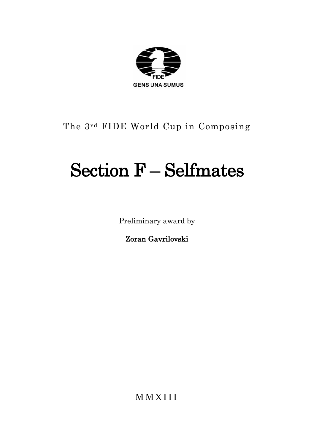

# The 3rd FIDE World Cup in Composing

# Section F – Selfmates

Preliminary award by

Zoran Gavrilovski

M M X I I I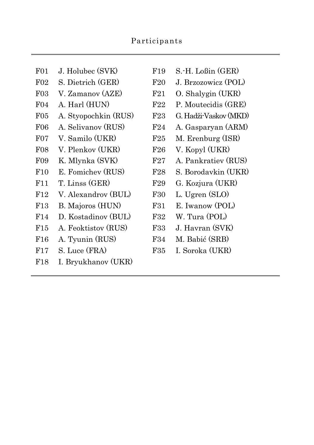| F <sub>01</sub> | J. Holubec (SVK)     |
|-----------------|----------------------|
| F02             | S. Dietrich (GER)    |
| F03             | V. Zamanov (AZE)     |
| F <sub>04</sub> | A. Harl (HUN)        |
| F05             | A. Styopochkin (RUS) |
| F06             | A. Selivanov (RUS)   |
| $F_{07}$        | V. Samilo (UKR)      |
| F <sub>08</sub> | V. Plenkov (UKR)     |
| F09             | K. Mlynka (SVK)      |
| F10             | E. Fomichev (RUS)    |
| F11             | T. Linss (GER)       |
| F12             | V. Alexandrov (BUL)  |
| F13             | B. Majoros (HUN)     |
| F14             | D. Kostadinov (BUL)  |
| $_{\rm F15}$    | A. Feoktistov (RUS)  |
| F16             | A. Tyunin (RUS)      |
| F17             | S. Luce (FRA)        |
|                 |                      |

F18 I. Bryukhanov (UKR)

- $F19$  S.-H. Loßin (GER)
- F20 J. Brzozowicz (POL)
- F21 O. Shalygin (UKR)
- F22 P. Moutecidis (GRE)
- F23 G. Hadži-Vaskov (MKD)
- F24 A. Gasparyan (ARM)
	- F25 M. Erenburg (ISR)
	- F26 V. Kopyl (UKR)
	- F27 A. Pankratiev (RUS)
	- F28 S. Borodavkin (UKR)
	- F29 G. Kozjura (UKR)
	- F30 L. Ugren (SLO)
	- F31 E. Iwanow (POL)
	- F32 W. Tura (POL)
	- F33 J. Havran (SVK)
	- F34 M. Babić (SRB)
	- F35 I. Soroka (UKR)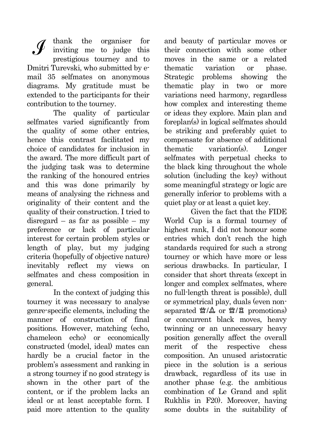thank the organiser for inviting me to judge this prestigious tourney and to Dmitri Turevski, who submitted by email 35 selfmates on anonymous diagrams. My gratitude must be extended to the participants for their contribution to the tourney.

The quality of particular selfmates varied significantly from the quality of some other entries, hence this contrast facilitated my choice of candidates for inclusion in the award. The more difficult part of the judging task was to determine the ranking of the honoured entries and this was done primarily by means of analysing the richness and originality of their content and the quality of their construction. I tried to disregard – as far as possible – my preference or lack of particular interest for certain problem styles or length of play, but my judging criteria (hopefully of objective nature) inevitably reflect my views on selfmates and chess composition in general.

In the context of judging this tourney it was necessary to analyse genre-specific elements, including the manner of construction of final positions. However, matching (echo, chameleon echo) or economically constructed (model, ideal) mates can hardly be a crucial factor in the problem's assessment and ranking in a strong tourney if no good strategy is shown in the other part of the content, or if the problem lacks an ideal or at least acceptable form. I paid more attention to the quality and beauty of particular moves or their connection with some other moves in the same or a related thematic variation or phase. Strategic problems showing the thematic play in two or more variations need harmony, regardless how complex and interesting theme or ideas they explore. Main plan and foreplan(s) in logical selfmates should be striking and preferably quiet to compensate for absence of additional thematic variation(s). Longer selfmates with perpetual checks to the black king throughout the whole solution (including the key) without some meaningful strategy or logic are generally inferior to problems with a quiet play or at least a quiet key.

Given the fact that the FIDE World Cup is a formal tourney of highest rank, I did not honour some entries which don't reach the high standards required for such a strong tourney or which have more or less serious drawbacks. In particular, I consider that short threats (except in longer and complex selfmates, where no full-length threat is possible), dull or symmetrical play, duals (even nonseparated 習/鱼 or 暨/畠 promotions) or concurrent black moves, heavy twinning or an unnecessary heavy position generally affect the overall merit of the respective chess composition. An unused aristocratic piece in the solution is a serious drawback, regardless of its use in another phase (e.g. the ambitious combination of Le Grand and split Rukhlis in F20). Moreover, having some doubts in the suitability of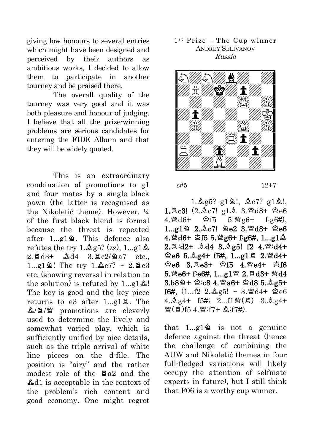giving low honours to several entries which might have been designed and perceived by their authors as ambitious works, I decided to allow them to participate in another tourney and be praised there.

The overall quality of the tourney was very good and it was both pleasure and honour of judging. I believe that all the prize-winning problems are serious candidates for entering the FIDE Album and that they will be widely quoted.

This is an extraordinary combination of promotions to g1 and four mates by a single black pawn (the latter is recognised as the Nikoletić theme). However,  $\frac{1}{4}$ of the first black blend is formal because the threat is repeated after  $1...e1$ <sup>2</sup>. This defence also refutes the try  $1.\&95$ ? (zz),  $1...\text{g1}\&$  $2.7 \text{ Rd}^{3+}$   $2.44 \text{ Rc}^{2}/2a^{7}$  etc.  $1...g1@!$  The try  $1.\&c7? \sim 2.\&c3$ etc. (showing reversal in relation to the solution) is refuted by  $1 \dots g1 \& 9$ ! The key is good and the key piece returns to e3 after  $1...g1\overline{a}$ . The  $\mathcal{L}/\mathbb{E}/\mathbb{Z}$  promotions are cleverly used to determine the lively and somewhat varied play, which is sufficiently unified by nice details, such as the triple arrival of white line pieces on the d-file. The position is "airy" and the rather modest role of the  $\Xi a2$  and the  $\triangle$ d1 is acceptable in the context of the problem's rich content and good economy. One might regret

### 1st Prize - The Cup winner ANDREY SELIVANOV Russia



s#5 12+7

 $1.\&$ g5? g12!,  $\&$ c7? g1 $\&$ !,  $1.\overline{2}c3!$  (2.  $\&c7!$  g1 $\&$  3. Wd8+  $\&c6$  $4.\mathcal{W}\,d6+$   $\mathcal{Q}f5$   $5.\mathcal{W}\,g6+$   $f\,g6\#$ ),  $1...g1 \n\cong 2.\&c7! \n\cong c2 \n3.\n\cong d8+ \n\cong c6$  $4.$   $4.6 + 2f55.$   $4.6 + 1.091$  $2.\boxtimes: d2+ \triangle d4$   $3.\triangle g5!$   $f2$   $4.\cong: d4+$  $2e6$  5.  $2g4+$  f5#, 1...g1 $82.$  2.  $\frac{m}{4}$  $2e6$  3.  $Ee3+$   $2f5$  4.  $Me4+$   $2f6$  $5.$  e6+ f:e6#,  $1...$ g $1$  i  $2.$  Ed3+ i  $d4$  $3.58$  $4.$   $3.68$   $4.$   $3.66 +$   $3.08$   $5.$   $2.65 +$ f6#,  $(1...f2 \t2.\&g5! \sim 3.\&d4+ \&e6$  $4.\&2.1\,\text{M}$  (E)  $3.\&2.4+$  $\mathfrak{B}(\boxtimes)$ f5 4. $\mathfrak{B}$ :f7+  $\mathfrak{L}$ :f7#).

that  $1 \ldots g1 \, \hat{a}$  is not a genuine defence against the threat (hence the challenge of combining the AUW and Nikoletić themes in four full-fledged variations will likely occupy the attention of selfmate experts in future), but I still think that F06 is a worthy cup winner.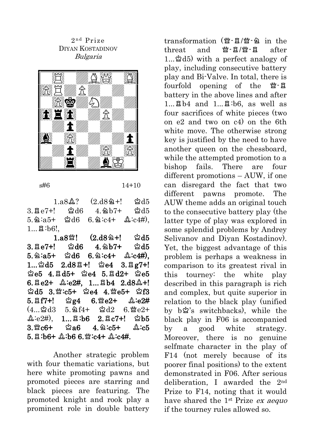2<sup>nd</sup> Prize DIYAN KOSTADINOV Bulgaria



s#6 14+10

 $1.884$ ?  $(2.189 + 1.815)$  $3.7e7+!$  \$d6  $4.9b7+$  \$d5  $5.\,\&\, :a5+$   $\&\, d6$   $6.\,\&\, :c4+$   $\&\, :c4\#$ ),  $1...$  $B:b6!$ .

 $1.88$   $(2.182 + 1)$   $2d5$  $3.7e7+!$   $\%$ d6  $4.9b7+$   $\%$ d5  $5.\,\&:a5+ \&d6 \quad 6.\,\&:c4+ \&:c4\#).$  $1...$ 2d5  $2.$ d8 $1$ +! 2e4  $3.$  Eg7+!  $\angle$ e5 4. $\angle$ d5+  $\angle$ e4 5. $\angle$ d2+  $\angle$ e5  $6. \text{Be2+}$   $\&\text{ie2#}$ ,  $1...$   $\text{Bb4}$   $2.\text{d8$\&+!}$  $2d5$  3. $2c5+$   $2e4$  4. $2e5+$   $2f3$  $5.\,\Xi$ f7+!  $\dot{\mathbb{E}}$ g4  $6.\,\underline{\mathbb{E}}$ e2+  $\mathbb{A}:\text{e}2\#$ <br>(4... $\dot{\mathbb{E}}$ d3  $5.\,\underline{\mathbb{E}}$ f4+  $\dot{\mathbb{E}}$ d2  $6.\,\underline{\mathbb{E}}$ e2+  $(4...2d3 \quad 5.264+ \quad 2d2 \quad 6.\n$  $\Delta$ :e2#), 1... $\Xi$ :b6 2. $\Xi$ c7+!  $\Delta$ b5  $3.8$  c6+  $\&$ a6 4  $\&$ :c5+  $\&$ :c5  $5.$   $\upbeta$ :b6+  $\stackrel{\wedge}{\sim}$ :b6 6. \cathercal  $\stackrel{\wedge}{\sim}$ :c4#.

Another strategic problem with four thematic variations, but here white promoting pawns and promoted pieces are starring and black pieces are featuring. The promoted knight and rook play a prominent role in double battery transformation  $\mathcal{L}(\mathcal{L} - \mathbb{Z})$  in the threat and  $\mathfrak{B}'$ - $\mathfrak{A}'$ - $\mathfrak{A}'$ - $\mathfrak{A}'$  after  $1...$  $\Delta$ d5) with a perfect analogy of play, including consecutive battery play and Bi-Valve. In total, there is fourfold opening of the  $\mathfrak{B}$ - $\mathfrak{A}$ battery in the above lines and after  $1...$  $Bb4$  and  $1...$  $B:b6$ , as well as four sacrifices of white pieces (two on e2 and two on c4) on the 6th white move. The otherwise strong key is justified by the need to have another queen on the chessboard, while the attempted promotion to a bishop fails. There are four different promotions – AUW, if one can disregard the fact that two different pawns promote. The AUW theme adds an original touch to the consecutive battery play (the latter type of play was explored in some splendid problems by Andrey Selivanov and Diyan Kostadinov). Yet, the biggest advantage of this problem is perhaps a weakness in comparison to its greatest rival in this tourney: the white play described in this paragraph is rich and complex, but quite superior in relation to the black play (unified by bu's switchbacks), while the black play in F06 is accompanied by a good white strategy. Moreover, there is no genuine selfmate character in the play of F14 (not merely because of its poorer final positions) to the extent demonstrated in F06. After serious deliberation, I awarded the 2nd Prize to F14, noting that it would have shared the 1<sup>st</sup> Prize ex aequo if the tourney rules allowed so.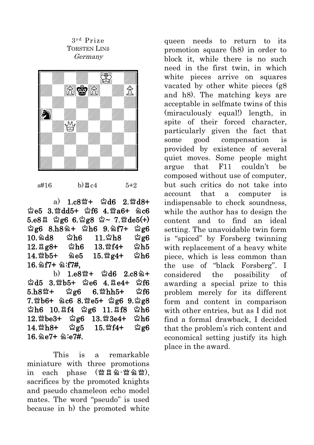### 3 r d Prize TORSTEN LINß Germany



 $s#16$  b) $Rc4$  5+2

a)  $1.68 + \times 16$  2.  $^{\circ}$ d8+  $2e5$  3. $4d5+$   $2f6$  4. $4d6+$   $2c6$  $5. e8$  E \$g6 6.\$g8 \$~ 7.\\egg{0.6}  $2g6$  8.h82+  $2h6$  9.2f7+  $2g6$  $10.\,9\,\text{d8}$   $\cong$  h6  $11.\,9\,\text{h8}$   $\cong$  g6  $12.\text{Bg8+}$   $\text{2h6}$   $13.\text{Wf4+}$   $\text{2h5}$  $14.\%$ b5+  $2e5$   $15.\%$ g4+  $2h6$  $16.9f7+ 9:f7#$ 

 $b)$  1.e8 $4 + 2d6$  2.c8 $4 +$  $\triangle 15$  3.  $\triangle 5+$   $\triangle 66$  4.  $\triangle 4+$   $\triangle 66$  $5.h8$ 14 = 12g6  $6.\%$ hh5+  $10.66$ 7. @b6+ 2c6 8. @e5+ gg6 9. gg8  $2h6$  10.8f4  $2g6$  11.8f8  $2h6$  $12.\%$ be $3+$   $\&$ g6  $13.\%3e4+$   $\&$ h6 14.sh8+ ug5 15.sf4+ ug6  $16.9e7+ 9.07#$ 

This is a remarkable miniature with three promotions in each phase  $(\mathcal{W} \boxtimes \mathcal{Q} \cdot \mathcal{W} \triangle \mathcal{W})$ , sacrifices by the promoted knights and pseudo chameleon echo model mates. The word "pseudo" is used because in b) the promoted white queen needs to return to its promotion square (h8) in order to block it, while there is no such need in the first twin, in which white pieces arrive on squares vacated by other white pieces (g8 and h8). The matching keys are acceptable in selfmate twins of this (miraculously equal!) length, in spite of their forced character, particularly given the fact that some good compensation is provided by existence of several quiet moves. Some people might argue that F11 couldn't be composed without use of computer, but such critics do not take into account that a computer is indispensable to check soundness, while the author has to design the content and to find an ideal setting. The unavoidable twin form is "spiced" by Forsberg twinning with replacement of a heavy white piece, which is less common than the use of "black Forsberg". I considered the possibility of awarding a special prize to this problem merely for its different form and content in comparison with other entries, but as I did not find a formal drawback, I decided that the problem's rich content and economical setting justify its high place in the award.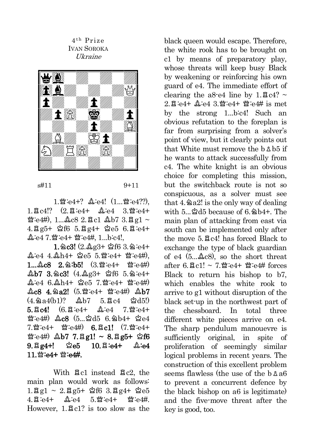4<sup>th</sup> Prize IVAN SOROKA Ukraine



s#11 9+11

1.營:e4+?  $\Delta$ :e4! (1...營:e4??),  $1.\,\text{g}$  c4!?  $(2.\,\text{g}$  e4+  $\text{g}$  e4  $3.\,\text{g}$  e4+  $\mathcal{B}:$ e4#), 1... $\Delta$ c8 2. $\Xi$ c1  $\Delta$ b7 3. $\Xi$ g1 ~ 4.qg5+ uf6 5.qg4+ ue5 6.q:e4+  $\Delta$ e4 7.瞥e4+ 瞥e4#, 1...b:c4!,

 $1.\,2c3!$  (2. $\&2g3+$   $2f63.\,2.94+$  $\Delta$ e4 4. $\Delta$ h4+  $\Delta$ e5 5. $\mathfrak{B}$ :e4+  $\mathfrak{B}$ :e4#),  $1...$  $2c8$   $2.\dot{2}:\dot{b}5!$   $(3.\ddot{w}:\dot{e}4+ \dddot{w}:\dot{e}4\dot{t})$  $\Delta b7$  3.2c3! (4. $\Delta g3+$   $\Delta f6$  5.2:e4+  $2: e4$  6. $2$ h4+  $2e5$  7. $3: e4+$   $3: e4$ #)  $\triangle$ c8 4. $\triangle$ a2! (5. $\mathcal{W}$ :e4+  $\mathcal{W}$ :e4#)  $\triangle$ b7 (4.ma4(b1)? ob7 5.qc4 ud5!)  $5.8c4!$   $(6.8e4+ 2.4e4 7.9e4+$  $\mathfrak{B}:e4\#$ )  $\&c8$  (5...  $\&d5$  6.  $\&b4$ +  $\&e4$  $7.$   $\mathfrak{B}:$   $e4+$   $\mathfrak{B}:$   $e4$   $\mathfrak{B}:$   $6.$   $\mathfrak{B}$   $c1!$   $(7.$   $\mathfrak{B}:$   $e4$  +  $\mathfrak{B}:$ e4#)  $\Delta$ b7 7. $\mathfrak{g}$ g1! ~ 8. $\mathfrak{g}$ g5+  $\mathfrak{G}$ f6  $9. \text{gg4+!}$   $\&e5$   $10. \text{g} :e4+$   $\&e4$  $11 \,$  \smatheral text text text text in the set of the set of the set of the set of the set of the set of the set of the set of the set of the set of the set of the set of the set of the set of the set of the set of the

With  $\Xi$ c1 instead  $\Xi$ c2, the main plan would work as follows: 1. $\overline{q}q1 \sim 2. \overline{q}g5 + \dot{\mathfrak{L}}f6$  3. $\overline{q}q4 + \dot{\mathfrak{L}}e5$ <br>
1. $\overline{q}q34 + \dot{\mathfrak{L}}g34 + \dot{\mathfrak{L}}g4 + \dot{\mathfrak{L}}g4$  $4.8$ :e4+  $8:$ e4 5. $\frac{36}{4}$  5. $\frac{10}{4}$  s:e4  $\frac{10}{4}$ However,  $1.7 \text{ g}^{-1}$  is too slow as the black queen would escape. Therefore, the white rook has to be brought on c1 by means of preparatory play, whose threats will keep busy Black by weakening or reinforcing his own guard of e4. The immediate effort of clearing the a8-e4 line by  $1.\overline{2}c4?$  ~  $2.\overline{2}$  = e4+  $\Delta$ :e4  $3.\overline{8}$ :e4+  $\overline{8}$ :e4# is met by the strong 1...b:c4! Such an obvious refutation to the foreplan is far from surprising from a solver's point of view, but it clearly points out that White must remove the  $b$   $\Delta$   $b$ <sup>5</sup> if he wants to attack successfully from c4. The white knight is an obvious choice for completing this mission, but the switchback route is not so conspicuous, as a solver must see that  $4.$   $\&$   $a2!$  is the only way of dealing with 5.  $\&$ d5 because of 6.  $\&$  b4+. The main plan of attacking from east via south can be implemented only after the move  $5.7$   $c4!$  has forced Black to exchange the type of black guardian of e4  $(5, . . . . 8)$ , so the short threat after 6.  $2c1! \sim 7$   $\mathcal{W}$ :e4+  $\mathcal{W}$ :e4# forces Black to return his bishop to b7, which enables the white rook to arrive to g1 without disruption of the black set-up in the northwest part of the chessboard. In total three different white pieces arrive on e4. The sharp pendulum manouevre is sufficiently original, in spite of proliferation of seemingly similar logical problems in recent years. The construction of this excellent problem seems flawless (the use of the  $b$   $\Delta a6$ to prevent a concurrent defence by the black bishop on a6 is legitimate) and the five-move threat after the key is good, too.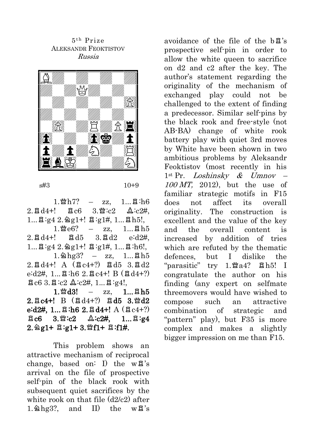5 t h Prize ALEKSANDR FEOKTISTOV Russia



#### s#3 10+9

 $1.\mathcal{W}h7? - zz, 1... \mathbb{E} : h6$  $2.\text{B} \text{d}4+!$   $\text{B} \text{c}6$   $3.\text{M} : c2$   $\text{A} : c2\text{H}$ ,  $1...$  $42.9g1+$ !  $4.9g1+$ !  $h5!$ ,  $1.\mathcal{B}$ e $6?$  – zz,  $1...\mathcal{B}$ h5  $2.\overline{a} \, d4+!$   $\overline{a} \, d5$   $3.\overline{a} \, d2$   $e:d2#$ .  $1...$  $3:q4$   $2.$   $9q1+$ !  $3:q1#$ ,  $1...$  $3:h6!$ ,  $1.\,\mathrm{\&he3?}$  – zz,  $1...\,\mathrm{\&h5}$  $2.\overline{a} d4+!$  A  $(\overline{a} c4+?)$   $\overline{a} d5$   $3.\overline{a} d2$ e:d2#, 1... $\Xi$ :h6 2. $\Xi$ c4+! B ( $\Xi$ d4+?)  $\Xi$ c6 3. $\Xi$ :c2  $\Delta$ :c2#, 1... $\Xi$ :g4!,

 $1.$   $\frac{1}{2}$  d3! – zz,  $1...$   $2h5$  $2.Ec4+!$  B  $(Bd4+?)$  Ed5 3. ad2 e:d2#, 1... $\Xi$ :h6 2. $\Xi$ d4+! A ( $\Xi$ c4+?)  $\Xi$ c6 3. $\mathfrak{B}:\c2$   $\&\c2\#$ , 1... $\Xi:\c4$  $2.$   $2.$   $2.$   $21+$   $3.$   $91+$   $3.$   $91+$   $93.$   $11+$   $14.$ 

This problem shows an attractive mechanism of reciprocal change, based on: I) the  $w\ddot{\mathbf{a}}$ 's arrival on the file of prospective self-pin of the black rook with subsequent quiet sacrifices by the white rook on that file  $(d2/c2)$  after  $1.$   $\triangle$  hg3?, and II) the w $\mathbb{R}$ 's avoidance of the file of the  $b\ddot{\mathbb{E}}$ 's prospective self-pin in order to allow the white queen to sacrifice on d2 and c2 after the key. The author's statement regarding the originality of the mechanism of exchanged play could not be challenged to the extent of finding a predecessor. Similar self-pins by the black rook and free-style (not AB-BA) change of white rook battery play with quiet 3rd moves by White have been shown in two ambitious problems by Aleksandr Feoktistov (most recently in his  $1^{st}$  Pr. *Loshinsky* & Umnov – 100 MT, 2012), but the use of familiar strategic motifs in F15 does not affect its overall originality. The construction is excellent and the value of the key and the overall content is increased by addition of tries which are refuted by the thematic defences, but I dislike the "parasitic" try  $1.$  $\mathfrak{Ba4}$ ?  $\mathfrak{Ab5}$ ! I congratulate the author on his finding (any expert on selfmate threemovers would have wished to compose such an attractive combination of strategic and "pattern" play), but F35 is more complex and makes a slightly bigger impression on me than F15.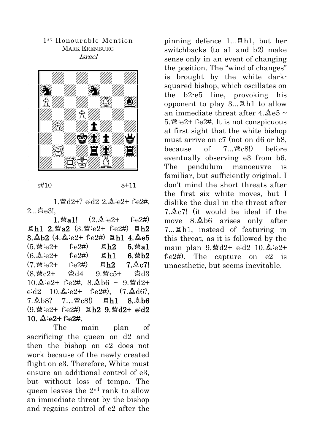#### 1<sup>st</sup> Honourable Mention MARK ERENBURG Israel



s#10 8+11

1. 曾d2+? e:d2 2.  $\Delta$ :e2+ f:e2#,  $2\degree$  $2\degree$ ി $\degree$ 

1.  $\mathfrak{B}$  a1!  $(2, \mathfrak{L}:e2+$  f:e2#)  $B$ h1 2.  $\n *Q*$   $(3.2)$   $(3.2)$   $(2.2)$   $(3.2)$   $(2.2)$   $(2.2)$   $(2.2)$   $(2.2)$   $(2.2)$   $(2.2)$   $(2.2)$   $(2.2)$   $(2.2)$   $(2.2)$   $(2.2)$   $(2.2)$   $(2.2)$   $(2.2)$   $(2.2)$   $(2.2)$   $(2.2)$   $(2.2)$   $(2.2)$   $(2.2)$   $(2.2)$   $3.\&b2$   $(4.\&c2+ f:c2\#)$   $Bh1$   $4.\&e5$  $(5. \mathfrak{B}:e2+$  f:e2#)  $\mathfrak{B}h2$  5.  $\mathfrak{B}a1$  $(6.\&:e2+$  f:e2#)  $\quad$   $Bh1$  6.  $$b2$  $(7.91e2 + 6e2)$   $\qquad$   $Rh2$   $7.2e7!$  $(8 \frac{\omega}{2}c^2 + \frac{\omega}{2}d^4 - 9 \frac{\omega}{2}c^5 + \frac{\omega}{2}d^3$  $10.\Delta$ :e2+ f:e2#, 8. $\Delta$ b6 ~ 9. md2+  $e: d2 \quad 10.\& e2+ \quad f \cdot e2 \#$ , (7. $\& d6?$ )  $7.\&b8?$   $7...\&c8!)$   $Bh1$   $8.\&b6$  $(9.19:102 + 6:24)$   $Bh2$   $9.19d2 + 6:22$ 10.  $2e:2+f.e2#$ .

The main plan of sacrificing the queen on d2 and then the bishop on e2 does not work because of the newly created flight on e3. Therefore, White must ensure an additional control of e3, but without loss of tempo. The queen leaves the  $2<sup>nd</sup>$  rank to allow an immediate threat by the bishop and regains control of e2 after the pinning defence  $1...$   $B<sup>h1</sup>$ , but her switchbacks (to a1 and b2) make sense only in an event of changing the position. The "wind of changes" is brought by the white darksquared bishop, which oscillates on the b2-e5 line, provoking his opponent to play  $3...$   $Bh1$  to allow an immediate threat after 4. $\&e5$  ~ 5. $\mathfrak{B}$ :e2+ f:e2#. It is not conspicuous at first sight that the white bishop must arrive on c7 (not on d6 or b8, because of  $7.$   $\mathcal{R}$   $c8!)$  before eventually observing e3 from b6. The pendulum manoeuvre is familiar, but sufficiently original. I don't mind the short threats after the first six white moves, but I dislike the dual in the threat after  $7 \text{ A}c7$ ! (it would be ideal if the move  $8.46$  arises only after 7...qh1, instead of featuring in this threat, as it is followed by the main plan  $9.$  2d2+ e:d2  $10.2$ :e2+ f:e2#). The capture on e2 is unaesthetic, but seems inevitable.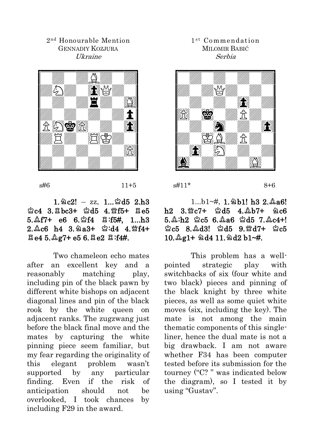#### 2 nd Honourable Mention GENNADIY KOZJURA Ukraine



 $s\#6$  11+5

# $1.\,\&c2!$  – zz,  $1...\&d5$  2.h3  $2c4$  3. $Ebc3+$  2d5 4. 115+  $Ee5$  $5.\&f7+ 66 6.\&f4 8:f5#$ , 1...h3  $2.\&c6$  h4 3.  $@a3+$   $@:d4$  4.  $@f4+$  $\Xi$ e4 5. $\&$ g7+ e5 6. $\Xi$ e2  $\Xi$ :f4#.

Two chameleon echo mates after an excellent key and a reasonably matching play, including pin of the black pawn by different white bishops on adjacent diagonal lines and pin of the black rook by the white queen on adjacent ranks. The zugzwang just before the black final move and the mates by capturing the white pinning piece seem familiar, but my fear regarding the originality of this elegant problem wasn't supported by any particular finding. Even if the risk of anticipation should not be overlooked, I took chances by including F29 in the award.

## 1<sup>st</sup> Commendation MILOMIR BABIĆ Serbia



 $s#11*$  8+6

# $1...b1$ <sup>-#</sup>,  $1.\Delta b1!$  h3 2. $\Delta a6!$  $h2$  3. Fc7+  $2d5$  4.  $2b7+$  2c6  $5.\&:h2 \&:c5 \; 6.\&46 \&d5 \; 7.\&c4+!$  $\triangle$ c5 8. $\triangle$ d3!  $\triangle$ d5 9. $\triangle$ d7+  $\triangle$ c5  $10.\Delta g1+ \Delta d4$  11.  $\Delta d2$  b1~#.

This problem has a wellpointed strategic play with switchbacks of six (four white and two black) pieces and pinning of the black knight by three white pieces, as well as some quiet white moves (six, including the key). The mate is not among the main thematic components of this singleliner, hence the dual mate is not a big drawback. I am not aware whether F34 has been computer tested before its submission for the tourney ("C? " was indicated below the diagram), so I tested it by using "Gustav".